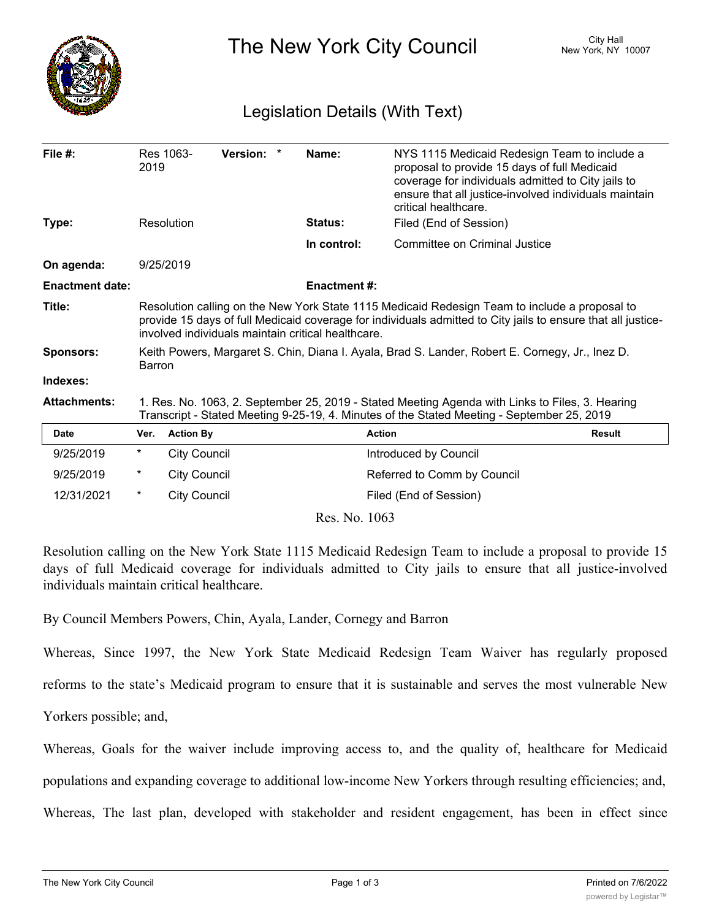

The New York City Council New York, NY 10007

## Legislation Details (With Text)

| File $#$ :             | 2019                                                                                                                                                                                                                                                                | Res 1063-<br>Version: * | Name:               | NYS 1115 Medicaid Redesign Team to include a<br>proposal to provide 15 days of full Medicaid<br>coverage for individuals admitted to City jails to<br>ensure that all justice-involved individuals maintain<br>critical healthcare. |
|------------------------|---------------------------------------------------------------------------------------------------------------------------------------------------------------------------------------------------------------------------------------------------------------------|-------------------------|---------------------|-------------------------------------------------------------------------------------------------------------------------------------------------------------------------------------------------------------------------------------|
| Type:                  |                                                                                                                                                                                                                                                                     | Resolution              | Status:             | Filed (End of Session)                                                                                                                                                                                                              |
|                        |                                                                                                                                                                                                                                                                     |                         | In control:         | Committee on Criminal Justice                                                                                                                                                                                                       |
| On agenda:             |                                                                                                                                                                                                                                                                     | 9/25/2019               |                     |                                                                                                                                                                                                                                     |
| <b>Enactment date:</b> |                                                                                                                                                                                                                                                                     |                         | <b>Enactment #:</b> |                                                                                                                                                                                                                                     |
| Title:                 | Resolution calling on the New York State 1115 Medicaid Redesign Team to include a proposal to<br>provide 15 days of full Medicaid coverage for individuals admitted to City jails to ensure that all justice-<br>involved individuals maintain critical healthcare. |                         |                     |                                                                                                                                                                                                                                     |
| <b>Sponsors:</b>       | Keith Powers, Margaret S. Chin, Diana I. Ayala, Brad S. Lander, Robert E. Cornegy, Jr., Inez D.<br>Barron                                                                                                                                                           |                         |                     |                                                                                                                                                                                                                                     |
| Indexes:               |                                                                                                                                                                                                                                                                     |                         |                     |                                                                                                                                                                                                                                     |
| <b>Attachments:</b>    | 1. Res. No. 1063, 2. September 25, 2019 - Stated Meeting Agenda with Links to Files, 3. Hearing<br>Transcript - Stated Meeting 9-25-19, 4. Minutes of the Stated Meeting - September 25, 2019                                                                       |                         |                     |                                                                                                                                                                                                                                     |
| <b>Date</b>            | Ver.                                                                                                                                                                                                                                                                | <b>Action By</b>        |                     | <b>Action</b><br><b>Result</b>                                                                                                                                                                                                      |
| 9/25/2019              | $^\star$                                                                                                                                                                                                                                                            | City Council            |                     | Introduced by Council                                                                                                                                                                                                               |
| 9/25/2019              | $\ast$                                                                                                                                                                                                                                                              | <b>City Council</b>     |                     | Referred to Comm by Council                                                                                                                                                                                                         |
| 12/31/2021             | $\ast$                                                                                                                                                                                                                                                              | <b>City Council</b>     |                     | Filed (End of Session)                                                                                                                                                                                                              |
| Res. No. 1063          |                                                                                                                                                                                                                                                                     |                         |                     |                                                                                                                                                                                                                                     |

Resolution calling on the New York State 1115 Medicaid Redesign Team to include a proposal to provide 15 days of full Medicaid coverage for individuals admitted to City jails to ensure that all justice-involved individuals maintain critical healthcare.

By Council Members Powers, Chin, Ayala, Lander, Cornegy and Barron

Whereas, Since 1997, the New York State Medicaid Redesign Team Waiver has regularly proposed reforms to the state's Medicaid program to ensure that it is sustainable and serves the most vulnerable New Yorkers possible; and,

Whereas, Goals for the waiver include improving access to, and the quality of, healthcare for Medicaid populations and expanding coverage to additional low-income New Yorkers through resulting efficiencies; and, Whereas, The last plan, developed with stakeholder and resident engagement, has been in effect since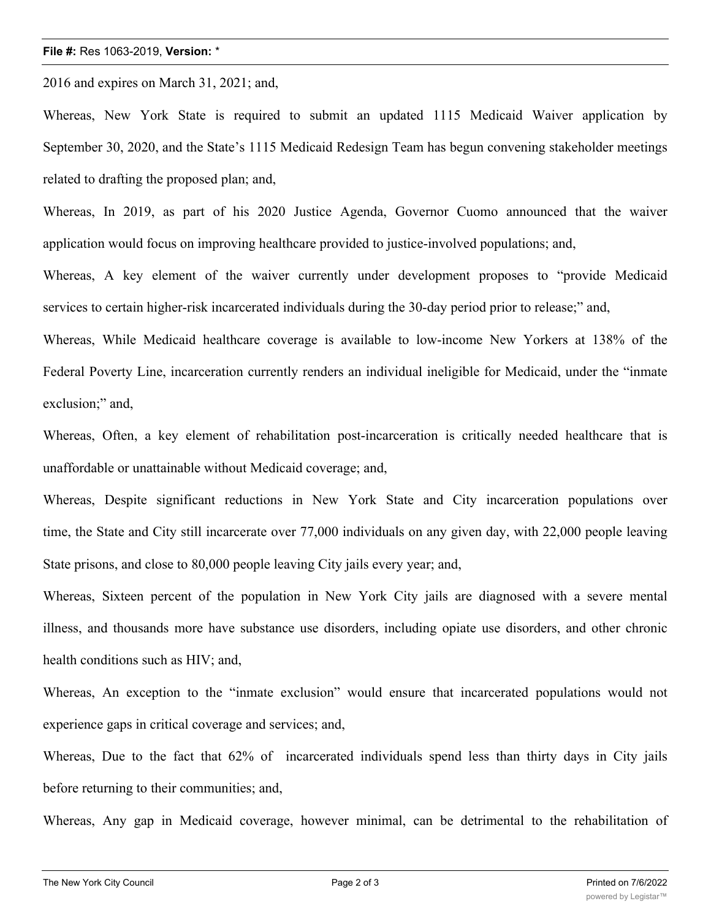## **File #:** Res 1063-2019, **Version:** \*

2016 and expires on March 31, 2021; and,

Whereas, New York State is required to submit an updated 1115 Medicaid Waiver application by September 30, 2020, and the State's 1115 Medicaid Redesign Team has begun convening stakeholder meetings related to drafting the proposed plan; and,

Whereas, In 2019, as part of his 2020 Justice Agenda, Governor Cuomo announced that the waiver application would focus on improving healthcare provided to justice-involved populations; and,

Whereas, A key element of the waiver currently under development proposes to "provide Medicaid services to certain higher-risk incarcerated individuals during the 30-day period prior to release;" and,

Whereas, While Medicaid healthcare coverage is available to low-income New Yorkers at 138% of the Federal Poverty Line, incarceration currently renders an individual ineligible for Medicaid, under the "inmate exclusion;" and,

Whereas, Often, a key element of rehabilitation post-incarceration is critically needed healthcare that is unaffordable or unattainable without Medicaid coverage; and,

Whereas, Despite significant reductions in New York State and City incarceration populations over time, the State and City still incarcerate over 77,000 individuals on any given day, with 22,000 people leaving State prisons, and close to 80,000 people leaving City jails every year; and,

Whereas, Sixteen percent of the population in New York City jails are diagnosed with a severe mental illness, and thousands more have substance use disorders, including opiate use disorders, and other chronic health conditions such as HIV; and,

Whereas, An exception to the "inmate exclusion" would ensure that incarcerated populations would not experience gaps in critical coverage and services; and,

Whereas, Due to the fact that 62% of incarcerated individuals spend less than thirty days in City jails before returning to their communities; and,

Whereas, Any gap in Medicaid coverage, however minimal, can be detrimental to the rehabilitation of